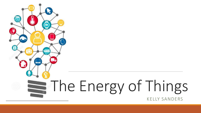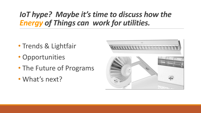## *IoT hype? Maybe it's time to discuss how the Energy of Things can work for utilities.*

- Trends & Lightfair
- Opportunities
- The Future of Programs
- What's next?

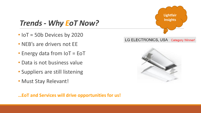**Lightfair Insights**LG ELECTRONICS, USA Category Winner!

### *Trends - Why EoT Now?*

- IoT = 50b Devices by 2020
- NEB's are drivers not EE
- Energy data from IoT = EoT
- Data is not business value
- Suppliers are still listening
- Must Stay Relevant!



**…EoT and Services will drive opportunities for us!**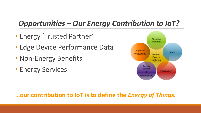## *Opportunities – Our Energy Contribution to IoT?*

- Energy 'Trusted Partner'
- Edge Device Performance Data
- Non-Energy Benefits
- Energy Services



#### **…our contribution to IoT is to define the** *Energy of Things***.**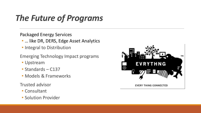## *The Future of Programs*

Packaged Energy Services

- … like DR, DERS, Edge Asset Analytics
- Integral to Distribution
- Emerging Technology Impact programs
- Upstream
- Standards C137
- Models & Frameworks
- Trusted advisor
- Consultant
- Solution Provider